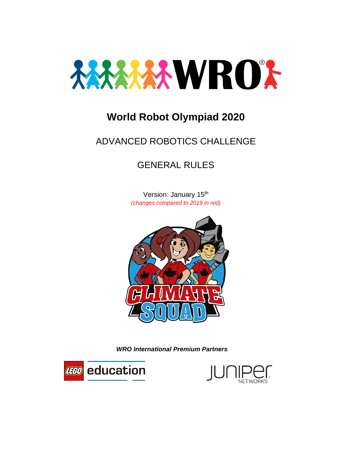

# **World Robot Olympiad 2020**

## <span id="page-0-1"></span><span id="page-0-0"></span>ADVANCED ROBOTICS CHALLENGE

## GENERAL RULES

Version: January 15<sup>th</sup> *(changes compared to 2019 in red)*



*WRO International Premium Partners*



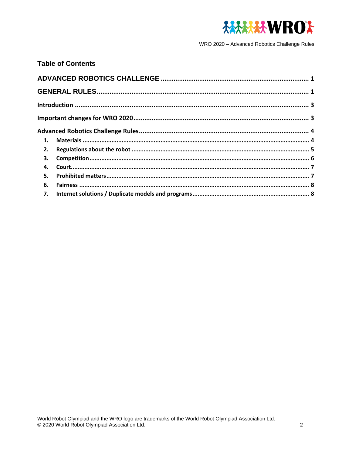

WRO 2020 - Advanced Robotics Challenge Rules

#### **Table of Contents**  $1.$  $2.$  $3.$ 4.  $5.$ 6.  $\overline{7}$ .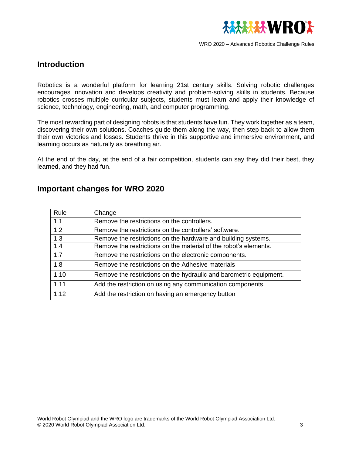

### <span id="page-2-0"></span>**Introduction**

Robotics is a wonderful platform for learning 21st century skills. Solving robotic challenges encourages innovation and develops creativity and problem-solving skills in students. Because robotics crosses multiple curricular subjects, students must learn and apply their knowledge of science, technology, engineering, math, and computer programming.

The most rewarding part of designing robots is that students have fun. They work together as a team, discovering their own solutions. Coaches guide them along the way, then step back to allow them their own victories and losses. Students thrive in this supportive and immersive environment, and learning occurs as naturally as breathing air.

At the end of the day, at the end of a fair competition, students can say they did their best, they learned, and they had fun.

| Rule | Change                                                             |
|------|--------------------------------------------------------------------|
| 1.1  | Remove the restrictions on the controllers.                        |
| 1.2  | Remove the restrictions on the controllers' software.              |
| 1.3  | Remove the restrictions on the hardware and building systems.      |
| 1.4  | Remove the restrictions on the material of the robot's elements.   |
| 1.7  | Remove the restrictions on the electronic components.              |
| 1.8  | Remove the restrictions on the Adhesive materials                  |
| 1.10 | Remove the restrictions on the hydraulic and barometric equipment. |
| 1.11 | Add the restriction on using any communication components.         |
| 1.12 | Add the restriction on having an emergency button                  |

### <span id="page-2-1"></span>**Important changes for WRO 2020**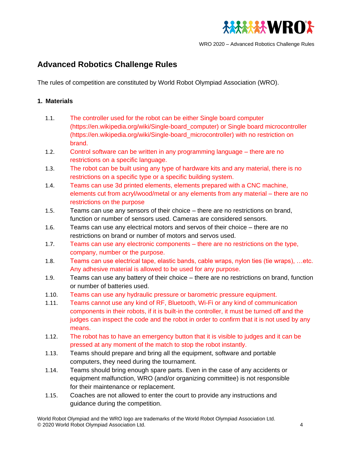

WRO 2020 – Advanced Robotics Challenge Rules

### <span id="page-3-0"></span>**Advanced Robotics Challenge Rules**

The rules of competition are constituted by World Robot Olympiad Association (WRO).

#### <span id="page-3-1"></span>**1. Materials**

- 1.1. The controller used for the robot can be either Single board computer (https://en.wikipedia.org/wiki/Single-board\_computer) or Single board microcontroller (https://en.wikipedia.org/wiki/Single-board\_microcontroller) with no restriction on brand.
- 1.2. Control software can be written in any programming language there are no restrictions on a specific language.
- 1.3. The robot can be built using any type of hardware kits and any material, there is no restrictions on a specific type or a specific building system.
- 1.4. Teams can use 3d printed elements, elements prepared with a CNC machine, elements cut from acryl/wood/metal or any elements from any material – there are no restrictions on the purpose
- 1.5. Teams can use any sensors of their choice there are no restrictions on brand, function or number of sensors used. Cameras are considered sensors.
- 1.6. Teams can use any electrical motors and servos of their choice there are no restrictions on brand or number of motors and servos used.
- 1.7. Teams can use any electronic components there are no restrictions on the type, company, number or the purpose.
- 1.8. Teams can use electrical tape, elastic bands, cable wraps, nylon ties (tie wraps), …etc. Any adhesive material is allowed to be used for any purpose.
- 1.9. Teams can use any battery of their choice there are no restrictions on brand, function or number of batteries used.
- 1.10. Teams can use any hydraulic pressure or barometric pressure equipment.
- 1.11. Teams cannot use any kind of RF, Bluetooth, Wi-Fi or any kind of communication components in their robots, if it is built-in the controller, it must be turned off and the judges can inspect the code and the robot in order to confirm that it is not used by any means.
- 1.12. The robot has to have an emergency button that it is visible to judges and it can be pressed at any moment of the match to stop the robot instantly.
- 1.13. Teams should prepare and bring all the equipment, software and portable computers, they need during the tournament.
- 1.14. Teams should bring enough spare parts. Even in the case of any accidents or equipment malfunction, WRO (and/or organizing committee) is not responsible for their maintenance or replacement.
- 1.15. Coaches are not allowed to enter the court to provide any instructions and guidance during the competition.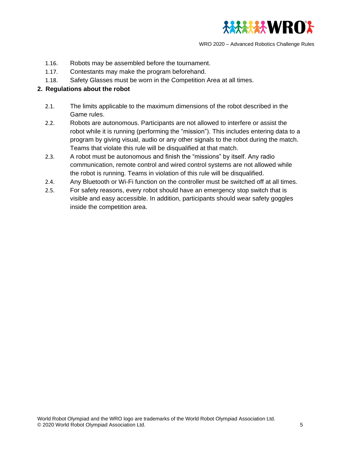

WRO 2020 – Advanced Robotics Challenge Rules

- 1.16. Robots may be assembled before the tournament.
- 1.17. Contestants may make the program beforehand.
- 1.18. Safety Glasses must be worn in the Competition Area at all times.

#### <span id="page-4-0"></span>**2. Regulations about the robot**

- 2.1. The limits applicable to the maximum dimensions of the robot described in the Game rules.
- 2.2. Robots are autonomous. Participants are not allowed to interfere or assist the robot while it is running (performing the "mission"). This includes entering data to a program by giving visual, audio or any other signals to the robot during the match. Teams that violate this rule will be disqualified at that match.
- 2.3. A robot must be autonomous and finish the "missions" by itself. Any radio communication, remote control and wired control systems are not allowed while the robot is running. Teams in violation of this rule will be disqualified.
- 2.4. Any Bluetooth or Wi-Fi function on the controller must be switched off at all times.
- 2.5. For safety reasons, every robot should have an emergency stop switch that is visible and easy accessible. In addition, participants should wear safety goggles inside the competition area.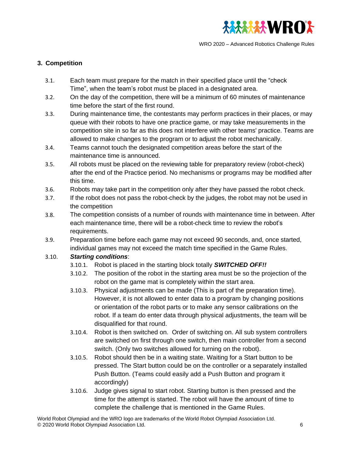

#### <span id="page-5-0"></span>**3. Competition**

- 3.1. Each team must prepare for the match in their specified place until the "check Time", when the team's robot must be placed in a designated area.
- 3.2. On the day of the competition, there will be a minimum of 60 minutes of maintenance time before the start of the first round.
- 3.3. During maintenance time, the contestants may perform practices in their places, or may queue with their robots to have one practice game, or may take measurements in the competition site in so far as this does not interfere with other teams' practice. Teams are allowed to make changes to the program or to adjust the robot mechanically.
- 3.4. Teams cannot touch the designated competition areas before the start of the maintenance time is announced.
- 3.5. All robots must be placed on the reviewing table for preparatory review (robot-check) after the end of the Practice period. No mechanisms or programs may be modified after this time.
- 3.6. Robots may take part in the competition only after they have passed the robot check.
- 3.7. If the robot does not pass the robot-check by the judges, the robot may not be used in the competition
- 3.8. The competition consists of a number of rounds with maintenance time in between. After each maintenance time, there will be a robot-check time to review the robot's requirements.
- 3.9. Preparation time before each game may not exceed 90 seconds, and, once started, individual games may not exceed the match time specified in the Game Rules.

#### 3.10. *Starting conditions*:

- 3.10.1. Robot is placed in the starting block totally *SWITCHED OFF!!*
- 3.10.2. The position of the robot in the starting area must be so the projection of the robot on the game mat is completely within the start area.
- 3.10.3. Physical adjustments can be made (This is part of the preparation time). However, it is not allowed to enter data to a program by changing positions or orientation of the robot parts or to make any sensor calibrations on the robot. If a team do enter data through physical adjustments, the team will be disqualified for that round.
- 3.10.4. Robot is then switched on. Order of switching on. All sub system controllers are switched on first through one switch, then main controller from a second switch. (Only two switches allowed for turning on the robot).
- 3.10.5. Robot should then be in a waiting state. Waiting for a Start button to be pressed. The Start button could be on the controller or a separately installed Push Button. (Teams could easily add a Push Button and program it accordingly)
- 3.10.6. Judge gives signal to start robot. Starting button is then pressed and the time for the attempt is started. The robot will have the amount of time to complete the challenge that is mentioned in the Game Rules.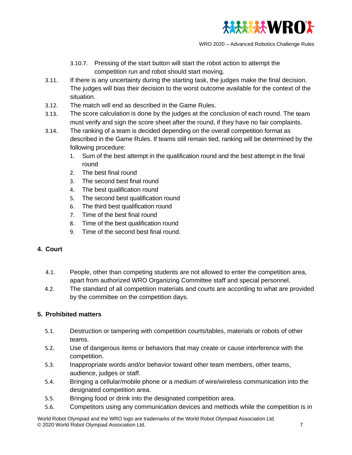

- 3.10.7. Pressing of the start button will start the robot action to attempt the competition run and robot should start moving.
- 3.11. If there is any uncertainty during the starting task, the judges make the final decision. The judges will bias their decision to the worst outcome available for the context of the situation.
- 3.12. The match will end as described in the Game Rules.
- 3.13. The score calculation is done by the judges at the conclusion of each round. The team must verify and sign the score sheet after the round, if they have no fair complaints.
- 3.14. The ranking of a team is decided depending on the overall competition format as described in the Game Rules. If teams still remain tied, ranking will be determined by the following procedure:
	- 1. Sum of the best attempt in the qualification round and the best attempt in the final round
	- 2. The best final round
	- 3. The second best final round
	- 4. The best qualification round
	- 5. The second best qualification round
	- 6. The third best qualification round
	- 7. Time of the best final round
	- 8. Time of the best qualification round
	- 9. Time of the second best final round.

#### <span id="page-6-0"></span>**4. Court**

- 4.1. People, other than competing students are not allowed to enter the competition area, apart from authorized WRO Organizing Committee staff and special personnel.
- 4.2. The standard of all competition materials and courts are according to what are provided by the committee on the competition days.

#### <span id="page-6-1"></span>**5. Prohibited matters**

- 5.1. Destruction or tampering with competition courts/tables, materials or robots of other teams.
- 5.2. Use of dangerous items or behaviors that may create or cause interference with the competition.
- 5.3. Inappropriate words and/or behavior toward other team members, other teams, audience, judges or staff.
- 5.4. Bringing a cellular/mobile phone or a medium of wire/wireless communication into the designated competition area.
- 5.5. Bringing food or drink into the designated competition area.
- 5.6. Competitors using any communication devices and methods while the competition is in

World Robot Olympiad and the WRO logo are trademarks of the World Robot Olympiad Association Ltd. © 2020 World Robot Olympiad Association Ltd. 7